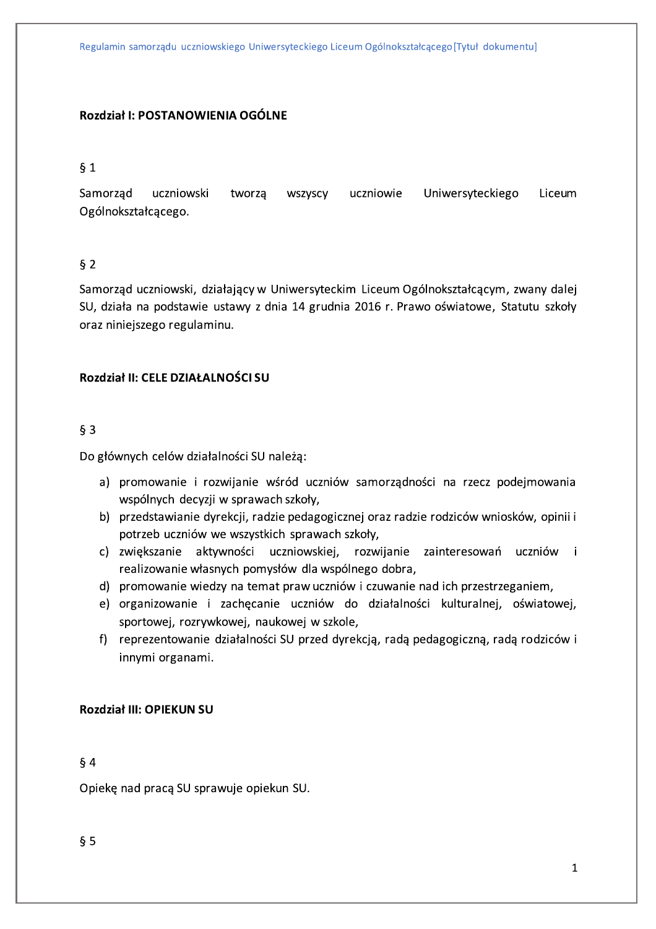Regulamin samorządu uczniowskiego Uniwersyteckiego Liceum Ogólnokształcącego [Tytuł dokumentu]

### Rozdział I: POSTANOWIENIA OGÓLNE

### $§ 1$

Samorząd Uniwersyteckiego uczniowski uczniowie Liceum tworzą wszyscy Ogólnokształcącego.

### $§$  2

Samorząd uczniowski, działający w Uniwersyteckim Liceum Ogólnokształcącym, zwany dalej SU, działa na podstawie ustawy z dnia 14 grudnia 2016 r. Prawo oświatowe, Statutu szkoły oraz niniejszego regulaminu.

### Rozdział II: CELE DZIAŁALNOŚCI SU

### $63$

Do głównych celów działalności SU należą:

- a) promowanie i rozwijanie wśród uczniów samorządności na rzecz podejmowania wspólnych decyzji w sprawach szkoły,
- b) przedstawianie dyrekcji, radzie pedagogicznej oraz radzie rodziców wniosków, opinii i potrzeb uczniów we wszystkich sprawach szkoły,
- c) zwiększanie aktywności uczniowskiej, rozwijanie zainteresowań uczniów i realizowanie własnych pomysłów dla wspólnego dobra,
- d) promowanie wiedzy na temat praw uczniów i czuwanie nad ich przestrzeganiem,
- e) organizowanie i zachecanie uczniów do działalności kulturalnej, oświatowej, sportowej, rozrywkowej, naukowej w szkole.
- f) reprezentowanie działalności SU przed dyrekcją, radą pedagogiczną, radą rodziców i innymi organami.

### **Rozdział III: OPIEKUN SU**

#### $§$ 4

Opiekę nad pracą SU sprawuje opiekun SU.

 $§ 5$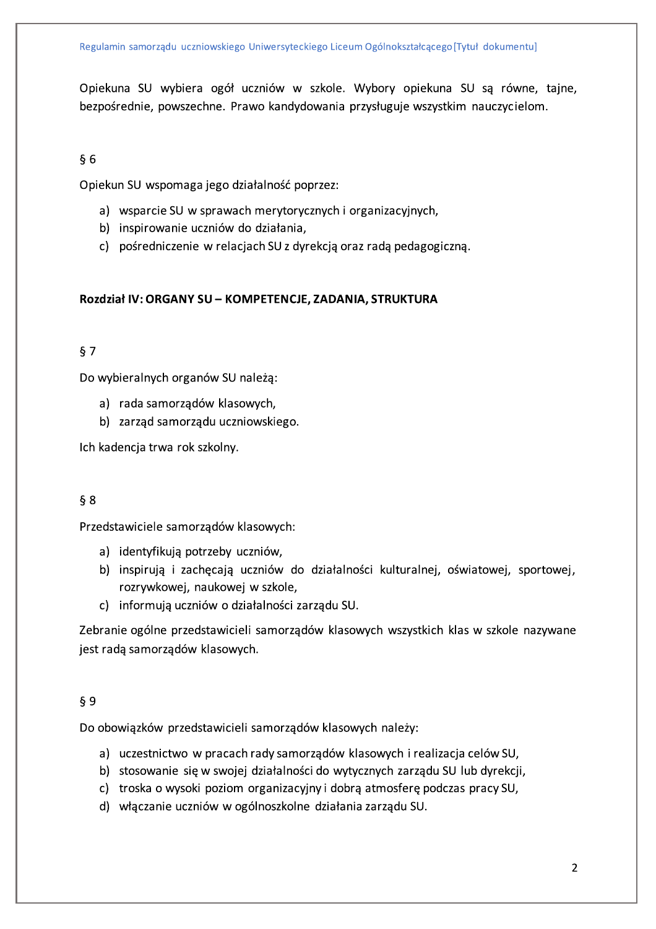Opiekuna SU wybiera ogół uczniów w szkole. Wybory opiekuna SU są równe, tajne, bezpośrednie, powszechne. Prawo kandydowania przysługuje wszystkim nauczycielom.

#### $§ 6$

Opiekun SU wspomaga jego działalność poprzez:

- a) wsparcie SU w sprawach merytorycznych i organizacyjnych,
- b) inspirowanie uczniów do działania,
- c) pośredniczenie w relacjach SU z dyrekcją oraz radą pedagogiczną.

### Rozdział IV: ORGANY SU - KOMPETENCJE, ZADANIA, STRUKTURA

# $§ 7$

Do wybieralnych organów SU należą:

- a) rada samorządów klasowych,
- b) zarząd samorządu uczniowskiego.

Ich kadencja trwa rok szkolny.

### $§ 8$

Przedstawiciele samorządów klasowych:

- a) identyfikują potrzeby uczniów,
- b) inspirują i zachęcają uczniów do działalności kulturalnej, oświatowej, sportowej, rozrywkowej, naukowej w szkole,
- c) informują uczniów o działalności zarządu SU.

Zebranie ogólne przedstawicieli samorządów klasowych wszystkich klas w szkole nazywane jest radą samorządów klasowych.

#### $§ 9$

Do obowiązków przedstawicieli samorządów klasowych należy:

- a) uczestnictwo w pracach rady samorządów klasowych i realizacja celów SU,
- b) stosowanie się w swojej działalności do wytycznych zarządu SU lub dyrekcji,
- c) troska o wysoki poziom organizacyjny i dobrą atmosferę podczas pracy SU,
- d) włączanie uczniów w ogólnoszkolne działania zarządu SU.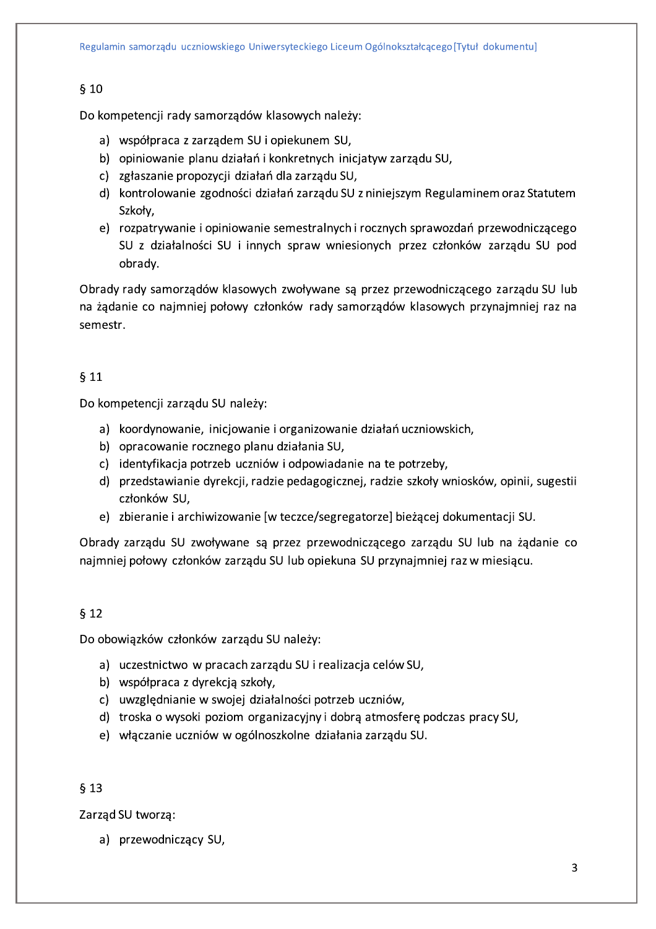### $§$  10

Do kompetencji rady samorządów klasowych należy:

- a) współpraca z zarządem SU i opiekunem SU,
- b) opiniowanie planu działań i konkretnych inicjatyw zarządu SU,
- c) zgłaszanie propozycji działań dla zarządu SU,
- d) kontrolowanie zgodności działań zarządu SU z niniejszym Regulaminem oraz Statutem Szkoły,
- e) rozpatrywanie i opiniowanie semestralnych i rocznych sprawozdań przewodniczącego SU z działalności SU i innych spraw wniesionych przez członków zarządu SU pod obrady.

Obrady rady samorządów klasowych zwoływane są przez przewodniczącego zarządu SU lub na żądanie co najmniej połowy członków rady samorządów klasowych przynajmniej raz na semestr.

### $§$  11

Do kompetencji zarządu SU należy:

- a) koordynowanie, inicjowanie i organizowanie działań uczniowskich,
- b) opracowanie rocznego planu działania SU,
- c) identyfikacja potrzeb uczniów i odpowiadanie na te potrzeby,
- d) przedstawianie dyrekcji, radzie pedagogicznej, radzie szkoły wniosków, opinii, sugestii członków SU,
- e) zbieranie i archiwizowanie [w teczce/segregatorze] bieżącej dokumentacji SU.

Obrady zarządu SU zwoływane są przez przewodniczącego zarządu SU lub na żądanie co najmniej połowy członków zarządu SU lub opiekuna SU przynajmniej raz w miesiącu.

### $§$  12

Do obowiązków członków zarządu SU należy:

- a) uczestnictwo w pracach zarządu SU i realizacja celów SU,
- b) współpraca z dyrekcją szkoły,
- c) uwzględnianie w swojej działalności potrzeb uczniów,
- d) troska o wysoki poziom organizacyjny i dobrą atmosferę podczas pracy SU,
- e) włączanie uczniów w ogólnoszkolne działania zarządu SU.

### $§$  13

Zarząd SU tworzą:

a) przewodniczący SU,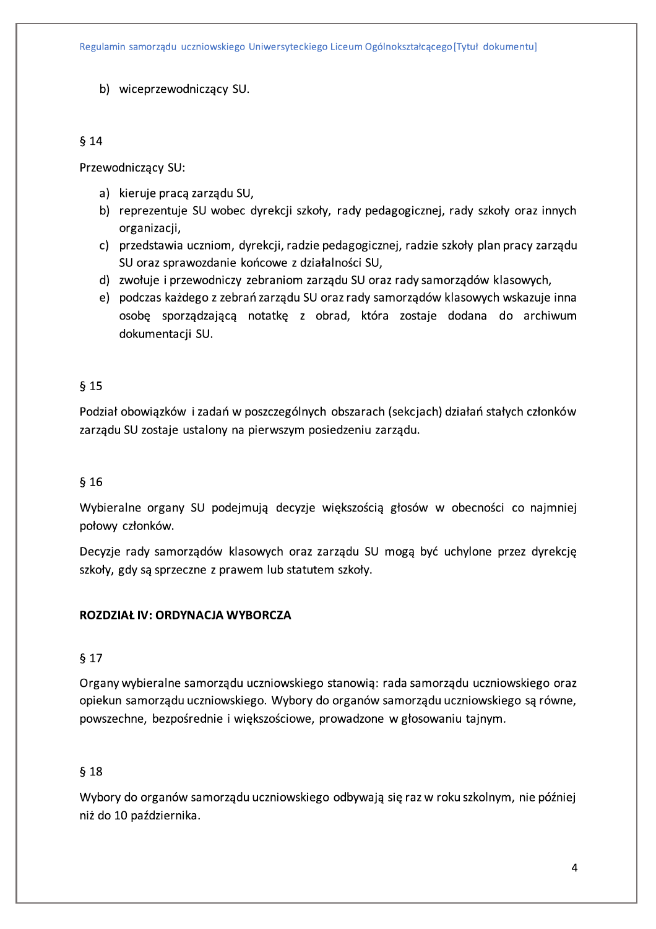b) wiceprzewodniczący SU.

### $$14$

Przewodniczący SU:

- a) kieruje pracą zarządu SU,
- b) reprezentuje SU wobec dyrekcji szkoły, rady pedagogicznej, rady szkoły oraz innych organizacji,
- c) przedstawia uczniom, dyrekcji, radzie pedagogicznej, radzie szkoły plan pracy zarządu SU oraz sprawozdanie końcowe z działalności SU,
- d) zwołuje i przewodniczy zebraniom zarządu SU oraz rady samorządów klasowych,
- e) podczas każdego z zebrań zarządu SU oraz rady samorządów klasowych wskazuje inna osobę sporządzającą notatkę z obrad, która zostaje dodana do archiwum dokumentacii SU.

# $615$

Podział obowiązków i zadań w poszczególnych obszarach (sekcjach) działań stałych członków zarządu SU zostaje ustalony na pierwszym posiedzeniu zarządu.

# $§$  16

Wybieralne organy SU podejmują decyzje większością głosów w obecności co najmniej połowy członków.

Decyzje rady samorządów klasowych oraz zarządu SU mogą być uchylone przez dyrekcję szkoły, gdy są sprzeczne z prawem lub statutem szkoły.

# ROZDZIAŁ IV: ORDYNACJA WYBORCZA

# $§$  17

Organy wybieralne samorządu uczniowskiego stanowią: rada samorządu uczniowskiego oraz opiekun samorządu uczniowskiego. Wybory do organów samorządu uczniowskiego są równe, powszechne, bezpośrednie i większościowe, prowadzone w głosowaniu tajnym.

# $$18$

Wybory do organów samorządu uczniowskiego odbywają się raz w roku szkolnym, nie później niż do 10 października.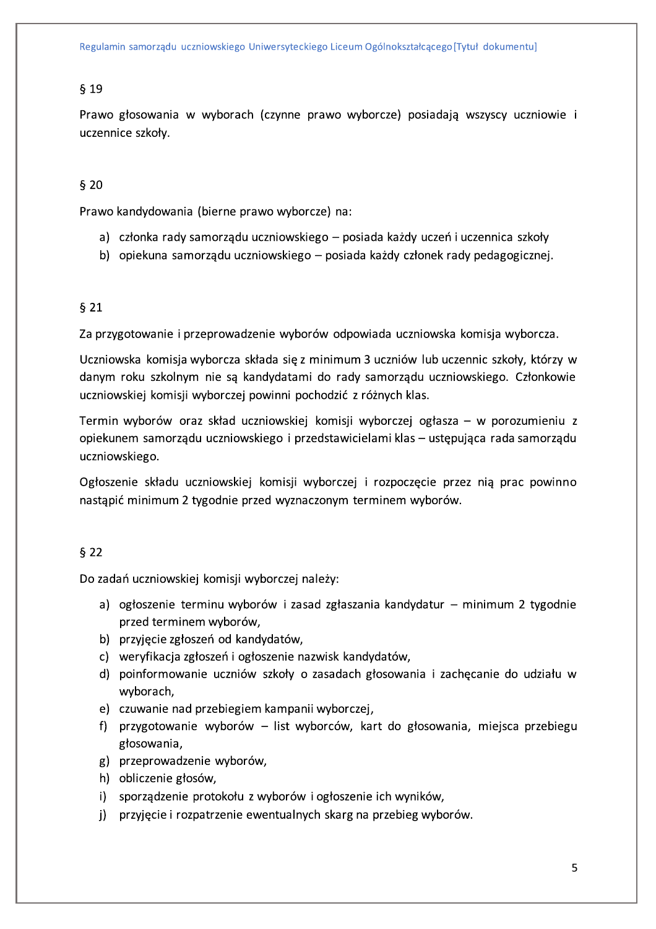#### $§$  19

Prawo głosowania w wyborach (czynne prawo wyborcze) posiadają wszyscy uczniowie i uczennice szkoły.

### $§$  20

Prawo kandydowania (bierne prawo wyborcze) na:

- a) członka rady samorządu uczniowskiego posiada każdy uczeń i uczennica szkoły
- b) opiekuna samorządu uczniowskiego posiada każdy członek rady pedagogicznej.

### $§$  21

Za przygotowanie i przeprowadzenie wyborów odpowiada uczniowska komisja wyborcza.

Uczniowska komisja wyborcza składa się z minimum 3 uczniów lub uczennic szkoły, którzy w danym roku szkolnym nie są kandydatami do rady samorządu uczniowskiego. Członkowie uczniowskiej komisji wyborczej powinni pochodzić z różnych klas.

Termin wyborów oraz skład uczniowskiej komisji wyborczej ogłasza – w porozumieniu z opiekunem samorządu uczniowskiego i przedstawicielami klas – ustępująca rada samorządu uczniowskiego.

Ogłoszenie składu uczniowskiej komisji wyborczej i rozpoczęcie przez nią prac powinno nastąpić minimum 2 tygodnie przed wyznaczonym terminem wyborów.

#### $§$  22

Do zadań uczniowskiej komisji wyborczej należy:

- a) ogłoszenie terminu wyborów i zasad zgłaszania kandydatur minimum 2 tygodnie przed terminem wyborów,
- b) przyjęcie zgłoszeń od kandydatów,
- c) weryfikacja zgłoszeń i ogłoszenie nazwisk kandydatów,
- d) poinformowanie uczniów szkoły o zasadach głosowania i zachęcanie do udziału w wyborach,
- e) czuwanie nad przebiegiem kampanii wyborczej,
- f) przygotowanie wyborów list wyborców, kart do głosowania, miejsca przebiegu głosowania,
- g) przeprowadzenie wyborów,
- h) obliczenie głosów,
- i) sporządzenie protokołu z wyborów i ogłoszenie ich wyników,
- j) przyjęcie i rozpatrzenie ewentualnych skarg na przebieg wyborów.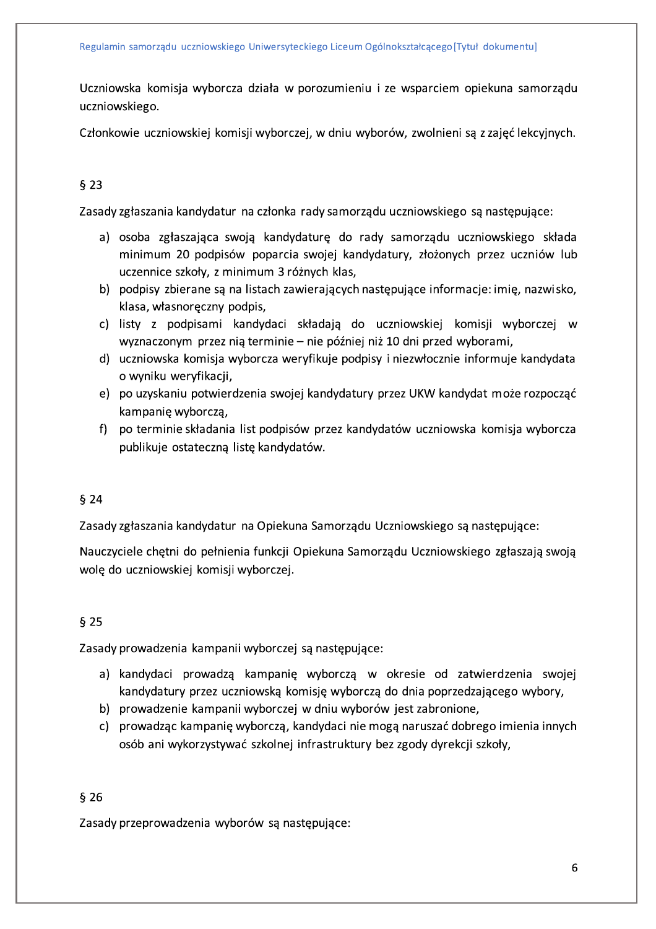Uczniowska komisja wyborcza działa w porozumieniu i ze wsparciem opiekuna samorządu uczniowskiego.

Członkowie uczniowskiej komisji wyborczej, w dniu wyborów, zwolnieni są z zajęć lekcyjnych.

# $§$  23

Zasady zgłaszania kandydatur na członka rady samorządu uczniowskiego są następujące:

- a) osoba zgłaszająca swoją kandydaturę do rady samorządu uczniowskiego składa minimum 20 podpisów poparcia swojej kandydatury, złożonych przez uczniów lub uczennice szkoły, z minimum 3 różnych klas,
- b) podpisy zbierane są na listach zawierających następujące informacje: imie, nazwisko, klasa, własnoręczny podpis,
- c) listy z podpisami kandydaci składają do uczniowskiej komisji wyborczej w wyznaczonym przez nią terminie – nie później niż 10 dni przed wyborami,
- d) uczniowska komisja wyborcza weryfikuje podpisy i niezwłocznie informuje kandydata o wyniku weryfikacji,
- e) po uzyskaniu potwierdzenia swojej kandydatury przez UKW kandydat może rozpocząć kampanię wyborczą,
- f) po terminie składania list podpisów przez kandydatów uczniowska komisja wyborcza publikuje ostateczną listę kandydatów.

### $§$  24

Zasady zgłaszania kandydatur na Opiekuna Samorządu Uczniowskiego są następujące:

Nauczyciele chetni do pełnienia funkcji Opiekuna Samorządu Uczniowskiego zgłaszają swoją wolę do uczniowskiej komisji wyborczej.

# $§$  25

Zasady prowadzenia kampanii wyborczej są następujące:

- a) kandydaci prowadzą kampanię wyborczą w okresie od zatwierdzenia swojej kandydatury przez uczniowską komisję wyborczą do dnia poprzedzającego wybory,
- b) prowadzenie kampanii wyborczej w dniu wyborów jest zabronione,
- c) prowadząc kampanię wyborczą, kandydaci nie mogą naruszać dobrego imienia innych osób ani wykorzystywać szkolnej infrastruktury bez zgody dyrekcji szkoły,

### $§$  26

Zasady przeprowadzenia wyborów są następujące: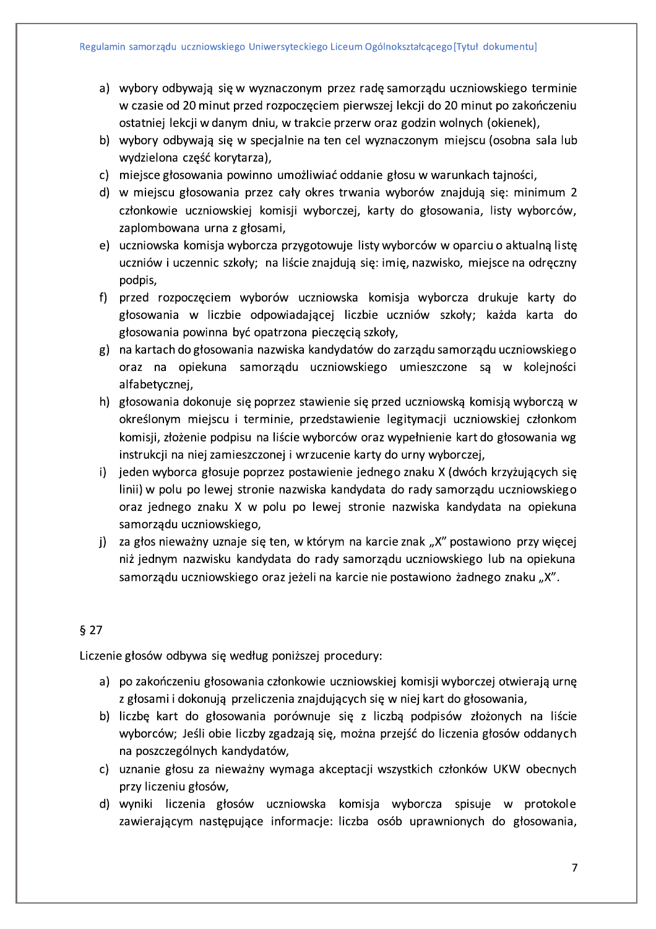- a) wybory odbywają się w wyznaczonym przez radę samorządu uczniowskiego terminie w czasie od 20 minut przed rozpoczęciem pierwszej lekcji do 20 minut po zakończeniu ostatniej lekcji w danym dniu, w trakcie przerw oraz godzin wolnych (okienek),
- b) wybory odbywają się w specjalnie na ten cel wyznaczonym miejscu (osobna sala lub wydzielona część korytarza),
- c) miejsce głosowania powinno umożliwiać oddanie głosu w warunkach tajności,
- d) w miejscu głosowania przez cały okres trwania wyborów znajdują się: minimum 2 członkowie uczniowskiej komisji wyborczej, karty do głosowania, listy wyborców, zaplombowana urna z głosami,
- e) uczniowska komisja wyborcza przygotowuje listy wyborców w oparciu o aktualną listę uczniów i uczennic szkoły; na liście znajdują się: imię, nazwisko, miejsce na odręczny podpis,
- f) przed rozpoczęciem wyborów uczniowska komisja wyborcza drukuje karty do głosowania w liczbie odpowiadającej liczbie uczniów szkoły; każda karta do głosowania powinna być opatrzona pieczęcią szkoły,
- g) na kartach do głosowania nazwiska kandydatów do zarządu samorządu uczniowskiego oraz na opiekuna samorządu uczniowskiego umieszczone są w kolejności alfabetycznej,
- h) głosowania dokonuje się poprzez stawienie się przed uczniowską komisją wyborczą w określonym miejscu i terminie, przedstawienie legitymacji uczniowskiej członkom komisji, złożenie podpisu na liście wyborców oraz wypełnienie kart do głosowania wg instrukcji na niej zamieszczonej i wrzucenie karty do urny wyborczej,
- i) jeden wyborca głosuje poprzez postawienie jednego znaku X (dwóch krzyżujących się linii) w polu po lewej stronie nazwiska kandydata do rady samorządu uczniowskiego oraz jednego znaku X w polu po lewej stronie nazwiska kandydata na opiekuna samorządu uczniowskiego,
- j) za głos nieważny uznaje się ten, w którym na karcie znak "X" postawiono przy więcej niż jednym nazwisku kandydata do rady samorządu uczniowskiego lub na opiekuna samorządu uczniowskiego oraz jeżeli na karcie nie postawiono żadnego znaku "X".

# $§$  27

Liczenie głosów odbywa się według poniższej procedury:

- a) po zakończeniu głosowania członkowie uczniowskiej komisji wyborczej otwierają urnę z głosami i dokonują przeliczenia znajdujących się w niej kart do głosowania,
- b) liczbę kart do głosowania porównuje się z liczbą podpisów złożonych na liście wyborców; Jeśli obie liczby zgadzają się, można przejść do liczenia głosów oddanych na poszczególnych kandydatów,
- c) uznanie głosu za nieważny wymaga akceptacji wszystkich członków UKW obecnych przy liczeniu głosów,
- d) wyniki liczenia głosów uczniowska komisja wyborcza spisuje w protokole zawierającym następujące informacje: liczba osób uprawnionych do głosowania,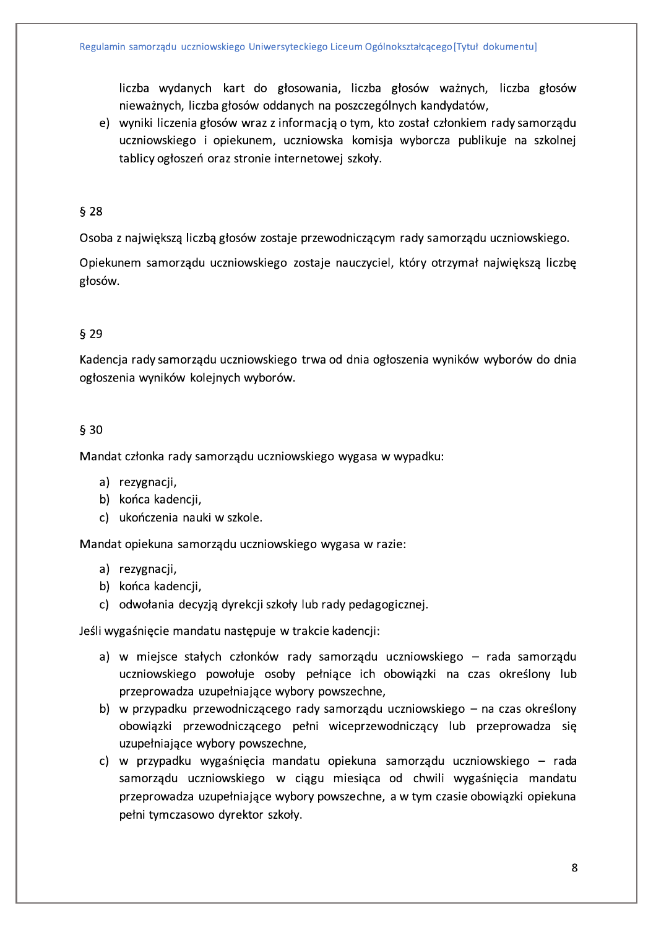liczba wydanych kart do głosowania, liczba głosów ważnych, liczba głosów nieważnych, liczba głosów oddanych na poszczególnych kandydatów,

e) wyniki liczenia głosów wraz z informacją o tym, kto został członkiem rady samorządu uczniowskiego i opiekunem, uczniowska komisja wyborcza publikuje na szkolnej tablicy ogłoszeń oraz stronie internetowej szkoły.

#### $§$  28

Osoba z największą liczbą głosów zostaje przewodniczącym rady samorządu uczniowskiego.

Opiekunem samorządu uczniowskiego zostaje nauczyciel, który otrzymał największą liczbę głosów.

### $629$

Kadencja rady samorządu uczniowskiego trwa od dnia ogłoszenia wyników wyborów do dnia ogłoszenia wyników kolejnych wyborów.

### $$30$

Mandat członka rady samorządu uczniowskiego wygasa w wypadku:

- a) rezygnacji,
- b) końca kadencji,
- c) ukończenia nauki w szkole.

Mandat opiekuna samorządu uczniowskiego wygasa w razie:

- a) rezygnacji,
- b) końca kadencji,
- c) odwołania decyzją dyrekcji szkoły lub rady pedagogicznej.

Jeśli wygaśnięcie mandatu następuje w trakcie kadencji:

- a) w miejsce stałych członków rady samorządu uczniowskiego rada samorządu uczniowskiego powołuje osoby pełniące ich obowiązki na czas określony lub przeprowadza uzupełniające wybory powszechne,
- b) w przypadku przewodniczącego rady samorządu uczniowskiego na czas określony obowiązki przewodniczącego pełni wiceprzewodniczący lub przeprowadza się uzupełniające wybory powszechne,
- c) w przypadku wygaśnięcia mandatu opiekuna samorządu uczniowskiego rada samorządu uczniowskiego w ciągu miesiąca od chwili wygaśnięcia mandatu przeprowadza uzupełniające wybory powszechne, a w tym czasie obowiązki opiekuna pełni tymczasowo dyrektor szkoły.